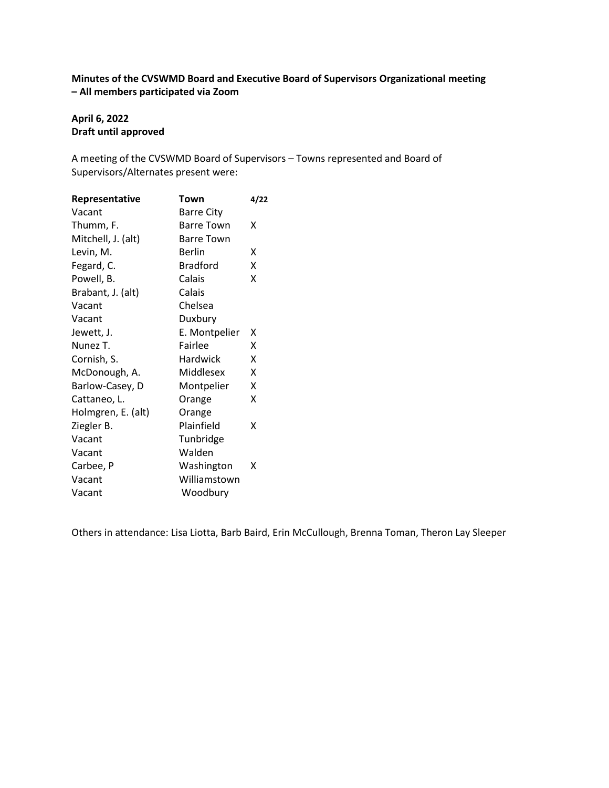# **Minutes of the CVSWMD Board and Executive Board of Supervisors Organizational meeting – All members participated via Zoom**

# **April 6, 2022 Draft until approved**

A meeting of the CVSWMD Board of Supervisors – Towns represented and Board of Supervisors/Alternates present were:

| Representative     | Town              | 4/22 |
|--------------------|-------------------|------|
| Vacant             | Barre City        |      |
| Thumm, F.          | <b>Barre Town</b> | х    |
| Mitchell, J. (alt) | <b>Barre Town</b> |      |
| Levin, M.          | <b>Berlin</b>     | x    |
| Fegard, C.         | <b>Bradford</b>   | x    |
| Powell, B.         | Calais            | X    |
| Brabant, J. (alt)  | Calais            |      |
| Vacant             | Chelsea           |      |
| Vacant             | Duxbury           |      |
| Jewett, J.         | E. Montpelier     | x    |
| Nunez T.           | Fairlee           | x    |
| Cornish, S.        | <b>Hardwick</b>   | X    |
| McDonough, A.      | Middlesex         | x    |
| Barlow-Casey, D    | Montpelier        | x    |
| Cattaneo, L.       | Orange            | x    |
| Holmgren, E. (alt) | Orange            |      |
| Ziegler B.         | Plainfield        | x    |
| Vacant             | Tunbridge         |      |
| Vacant             | Walden            |      |
| Carbee, P          | Washington        | x    |
| Vacant             | Williamstown      |      |
| Vacant             | Woodbury          |      |
|                    |                   |      |

Others in attendance: Lisa Liotta, Barb Baird, Erin McCullough, Brenna Toman, Theron Lay Sleeper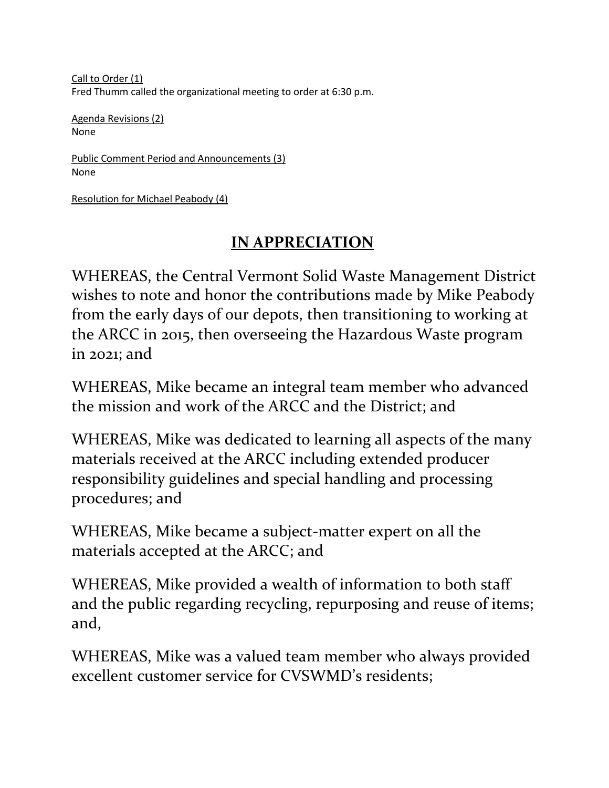Call to Order (1) Fred Thumm called the organizational meeting to order at 6:30 p.m.

Agenda Revisions (2) None

Public Comment Period and Announcements (3) None

Resolution for Michael Peabody (4)

# **IN APPRECIATION**

WHEREAS, the Central Vermont Solid Waste Management District wishes to note and honor the contributions made by Mike Peabody from the early days of our depots, then transitioning to working at the ARCC in 2015, then overseeing the Hazardous Waste program in 2021; and

WHEREAS, Mike became an integral team member who advanced the mission and work of the ARCC and the District; and

WHEREAS, Mike was dedicated to learning all aspects of the many materials received at the ARCC including extended producer responsibility guidelines and special handling and processing procedures; and

WHEREAS, Mike became a subject-matter expert on all the materials accepted at the ARCC; and

WHEREAS, Mike provided a wealth of information to both staff and the public regarding recycling, repurposing and reuse of items; and,

WHEREAS, Mike was a valued team member who always provided excellent customer service for CVSWMD's residents;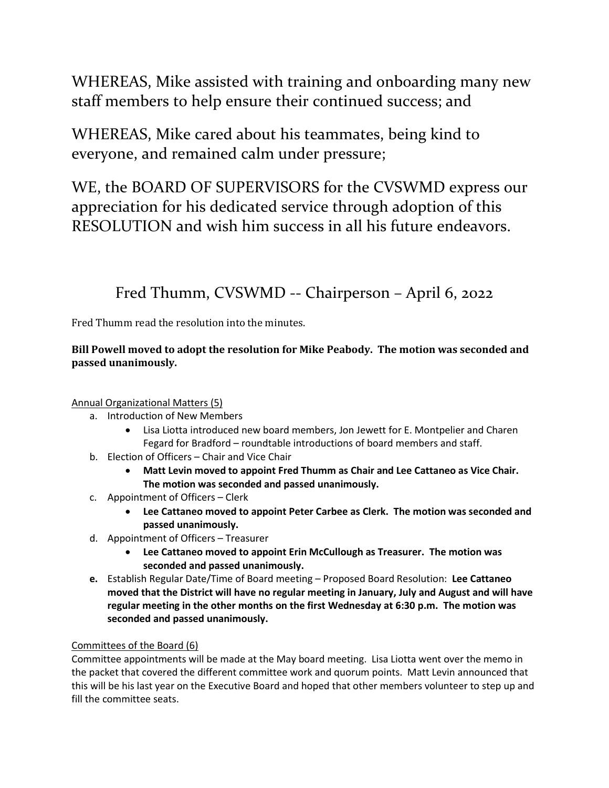WHEREAS, Mike assisted with training and onboarding many new staff members to help ensure their continued success; and

WHEREAS, Mike cared about his teammates, being kind to everyone, and remained calm under pressure;

WE, the BOARD OF SUPERVISORS for the CVSWMD express our appreciation for his dedicated service through adoption of this RESOLUTION and wish him success in all his future endeavors.

Fred Thumm, CVSWMD -- Chairperson – April 6, 2022

Fred Thumm read the resolution into the minutes.

# **Bill Powell moved to adopt the resolution for Mike Peabody. The motion was seconded and passed unanimously.**

# Annual Organizational Matters (5)

- a. Introduction of New Members
	- Lisa Liotta introduced new board members, Jon Jewett for E. Montpelier and Charen Fegard for Bradford – roundtable introductions of board members and staff.
- b. Election of Officers Chair and Vice Chair
	- **Matt Levin moved to appoint Fred Thumm as Chair and Lee Cattaneo as Vice Chair. The motion was seconded and passed unanimously.**
- c. Appointment of Officers Clerk
	- **Lee Cattaneo moved to appoint Peter Carbee as Clerk. The motion was seconded and passed unanimously.**
- d. Appointment of Officers Treasurer
	- **Lee Cattaneo moved to appoint Erin McCullough as Treasurer. The motion was seconded and passed unanimously.**
- **e.** Establish Regular Date/Time of Board meeting Proposed Board Resolution: **Lee Cattaneo moved that the District will have no regular meeting in January, July and August and will have regular meeting in the other months on the first Wednesday at 6:30 p.m. The motion was seconded and passed unanimously.**

# Committees of the Board (6)

Committee appointments will be made at the May board meeting. Lisa Liotta went over the memo in the packet that covered the different committee work and quorum points. Matt Levin announced that this will be his last year on the Executive Board and hoped that other members volunteer to step up and fill the committee seats.